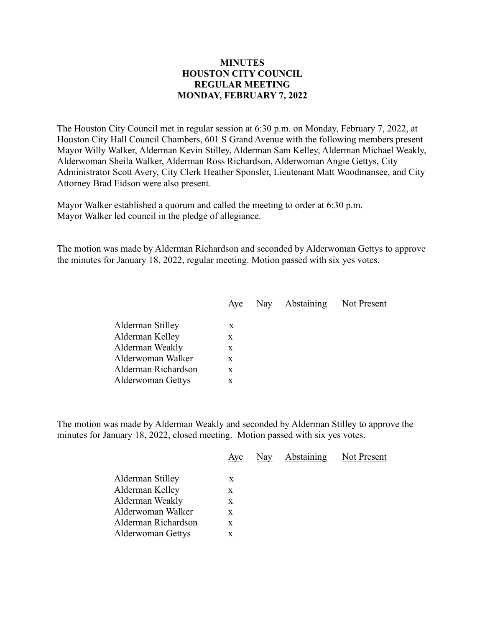## **MINUTES HOUSTON CITY COUNCIL REGULAR MEETING MONDAY, FEBRUARY 7, 2022**

The Houston City Council met in regular session at 6:30 p.m. on Monday, February 7, 2022, at Houston City Hall Council Chambers, 601 S Grand Avenue with the following members present Mayor Willy Walker, Alderman Kevin Stilley, Alderman Sam Kelley, Alderman Michael Weakly, Alderwoman Sheila Walker, Alderman Ross Richardson, Alderwoman Angie Gettys, City Administrator Scott Avery, City Clerk Heather Sponsler, Lieutenant Matt Woodmansee, and City Attorney Brad Eidson were also present.

Mayor Walker established a quorum and called the meeting to order at 6:30 p.m. Mayor Walker led council in the pledge of allegiance.

The motion was made by Alderman Richardson and seconded by Alderwoman Gettys to approve the minutes for January 18, 2022, regular meeting. Motion passed with six yes votes.

|                     | Aye | Nay | Abstaining | Not Present |
|---------------------|-----|-----|------------|-------------|
|                     |     |     |            |             |
| Alderman Stilley    | X   |     |            |             |
| Alderman Kelley     | x   |     |            |             |
| Alderman Weakly     | X   |     |            |             |
| Alderwoman Walker   | X   |     |            |             |
| Alderman Richardson | X   |     |            |             |
| Alderwoman Gettys   | X   |     |            |             |

The motion was made by Alderman Weakly and seconded by Alderman Stilley to approve the minutes for January 18, 2022, closed meeting. Motion passed with six yes votes.

|                          | Aye | Nay | <b>Abstaining</b> | Not Present |
|--------------------------|-----|-----|-------------------|-------------|
| Alderman Stilley         | X   |     |                   |             |
| Alderman Kelley          | X   |     |                   |             |
| Alderman Weakly          | X   |     |                   |             |
| Alderwoman Walker        | X   |     |                   |             |
| Alderman Richardson      | X   |     |                   |             |
| <b>Alderwoman Gettys</b> | X   |     |                   |             |
|                          |     |     |                   |             |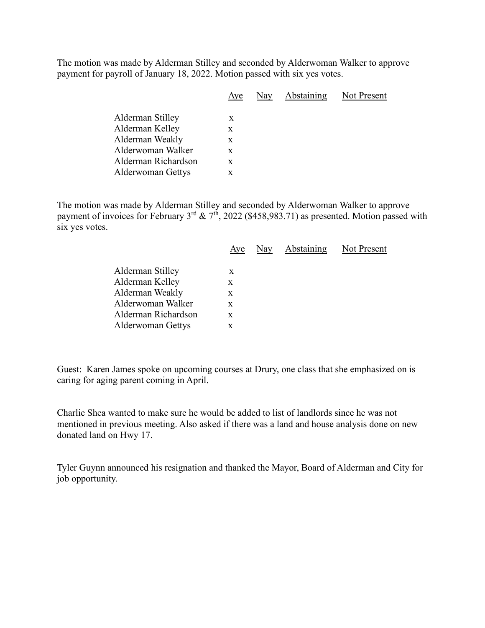The motion was made by Alderman Stilley and seconded by Alderwoman Walker to approve payment for payroll of January 18, 2022. Motion passed with six yes votes.

|                                     | Aye    | Nay | Abstaining | Not Present |
|-------------------------------------|--------|-----|------------|-------------|
| Alderman Stilley<br>Alderman Kelley | X<br>X |     |            |             |
| Alderman Weakly                     | X      |     |            |             |
| Alderwoman Walker                   | X      |     |            |             |
| Alderman Richardson                 | X      |     |            |             |
| <b>Alderwoman Gettys</b>            | X      |     |            |             |
|                                     |        |     |            |             |

The motion was made by Alderman Stilley and seconded by Alderwoman Walker to approve payment of invoices for February  $3^{rd}$  &  $7^{th}$ , 2022 (\$458,983.71) as presented. Motion passed with six yes votes.

|                          | Aye | Nay Abstaining | Not Present |
|--------------------------|-----|----------------|-------------|
| Alderman Stilley         | X   |                |             |
| Alderman Kelley          | X   |                |             |
| Alderman Weakly          | X   |                |             |
| Alderwoman Walker        | X   |                |             |
| Alderman Richardson      | X   |                |             |
| <b>Alderwoman Gettys</b> | x   |                |             |
|                          |     |                |             |

Guest: Karen James spoke on upcoming courses at Drury, one class that she emphasized on is caring for aging parent coming in April.

Charlie Shea wanted to make sure he would be added to list of landlords since he was not mentioned in previous meeting. Also asked if there was a land and house analysis done on new donated land on Hwy 17.

Tyler Guynn announced his resignation and thanked the Mayor, Board of Alderman and City for job opportunity.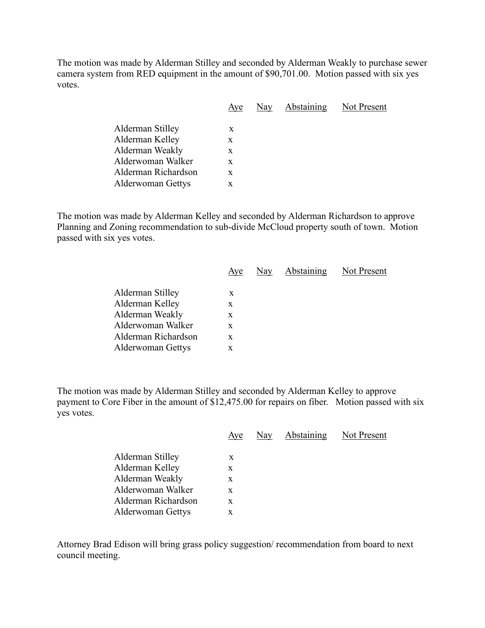The motion was made by Alderman Stilley and seconded by Alderman Weakly to purchase sewer camera system from RED equipment in the amount of \$90,701.00. Motion passed with six yes votes.

|                          | Aye | Nay Abstaining Not Present |  |
|--------------------------|-----|----------------------------|--|
| Alderman Stilley         | X   |                            |  |
|                          |     |                            |  |
| Alderman Kelley          | X   |                            |  |
| Alderman Weakly          | X   |                            |  |
| Alderwoman Walker        | X   |                            |  |
| Alderman Richardson      | X   |                            |  |
| <b>Alderwoman Gettys</b> | X   |                            |  |
|                          |     |                            |  |

The motion was made by Alderman Kelley and seconded by Alderman Richardson to approve Planning and Zoning recommendation to sub-divide McCloud property south of town. Motion passed with six yes votes.

|                          | Aye | Nay Abstaining | Not Present |
|--------------------------|-----|----------------|-------------|
|                          |     |                |             |
| Alderman Stilley         | X   |                |             |
| Alderman Kelley          | X   |                |             |
| Alderman Weakly          | X   |                |             |
| Alderwoman Walker        | X   |                |             |
| Alderman Richardson      | X   |                |             |
| <b>Alderwoman Gettys</b> | X   |                |             |

The motion was made by Alderman Stilley and seconded by Alderman Kelley to approve payment to Core Fiber in the amount of \$12,475.00 for repairs on fiber. Motion passed with six yes votes.

|                          | Aye | Nay | <b>Abstaining</b> | Not Present |
|--------------------------|-----|-----|-------------------|-------------|
|                          |     |     |                   |             |
| Alderman Stilley         | X   |     |                   |             |
| Alderman Kelley          | X   |     |                   |             |
| Alderman Weakly          | X   |     |                   |             |
| Alderwoman Walker        | X   |     |                   |             |
| Alderman Richardson      | X   |     |                   |             |
| <b>Alderwoman Gettys</b> | x   |     |                   |             |

Attorney Brad Edison will bring grass policy suggestion/ recommendation from board to next council meeting.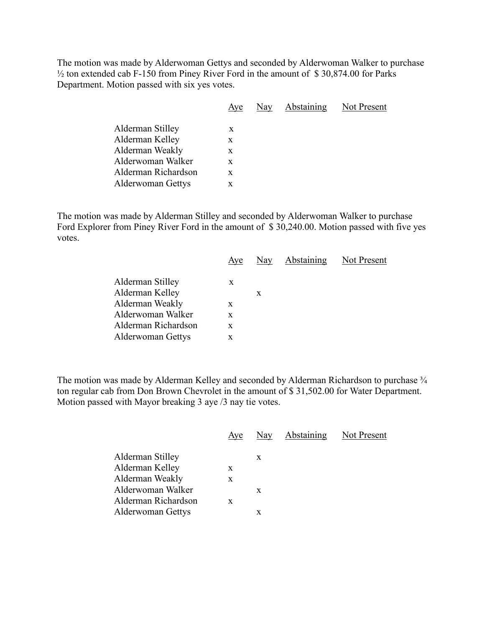The motion was made by Alderwoman Gettys and seconded by Alderwoman Walker to purchase ½ ton extended cab F-150 from Piney River Ford in the amount of \$ 30,874.00 for Parks Department. Motion passed with six yes votes.

|                          | Aye | Nay | Abstaining | Not Present |
|--------------------------|-----|-----|------------|-------------|
| Alderman Stilley         | X   |     |            |             |
| Alderman Kelley          | X   |     |            |             |
| Alderman Weakly          | X   |     |            |             |
| Alderwoman Walker        | X   |     |            |             |
| Alderman Richardson      | X   |     |            |             |
| <b>Alderwoman Gettys</b> | X   |     |            |             |
|                          |     |     |            |             |

The motion was made by Alderman Stilley and seconded by Alderwoman Walker to purchase Ford Explorer from Piney River Ford in the amount of \$ 30,240.00. Motion passed with five yes votes.

|                          | Aye |   | Nay Abstaining | Not Present |
|--------------------------|-----|---|----------------|-------------|
| Alderman Stilley         | X   |   |                |             |
| Alderman Kelley          |     | X |                |             |
| Alderman Weakly          | X   |   |                |             |
| Alderwoman Walker        | X   |   |                |             |
| Alderman Richardson      | X   |   |                |             |
| <b>Alderwoman Gettys</b> | x   |   |                |             |
|                          |     |   |                |             |

The motion was made by Alderman Kelley and seconded by Alderman Richardson to purchase  $\frac{3}{4}$ ton regular cab from Don Brown Chevrolet in the amount of \$ 31,502.00 for Water Department. Motion passed with Mayor breaking 3 aye /3 nay tie votes.

|                          | Aye | Nay | <b>Abstaining</b> Not Present |  |
|--------------------------|-----|-----|-------------------------------|--|
|                          |     |     |                               |  |
| Alderman Stilley         |     | X   |                               |  |
| Alderman Kelley          | X   |     |                               |  |
| Alderman Weakly          | X   |     |                               |  |
| Alderwoman Walker        |     | X   |                               |  |
| Alderman Richardson      | X   |     |                               |  |
| <b>Alderwoman Gettys</b> |     | X   |                               |  |
|                          |     |     |                               |  |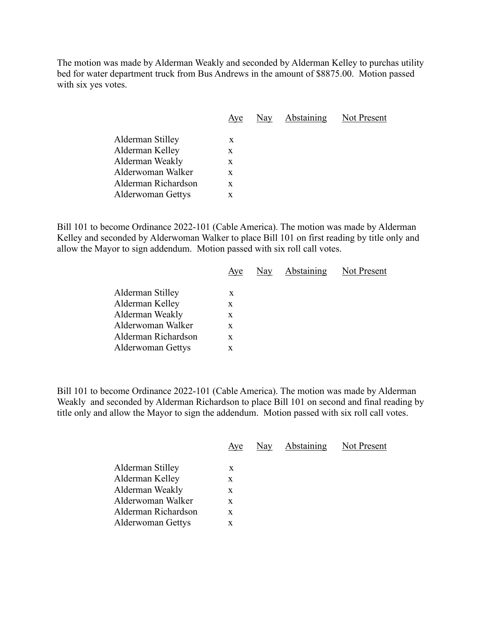The motion was made by Alderman Weakly and seconded by Alderman Kelley to purchas utility bed for water department truck from Bus Andrews in the amount of \$8875.00. Motion passed with six yes votes.

|                     | Aye | Nay | <b>Abstaining</b> Not Present |  |
|---------------------|-----|-----|-------------------------------|--|
| Alderman Stilley    | X   |     |                               |  |
| Alderman Kelley     | X   |     |                               |  |
| Alderman Weakly     | X   |     |                               |  |
| Alderwoman Walker   | X   |     |                               |  |
| Alderman Richardson | X   |     |                               |  |
| Alderwoman Gettys   | X   |     |                               |  |
|                     |     |     |                               |  |

Bill 101 to become Ordinance 2022-101 (Cable America). The motion was made by Alderman Kelley and seconded by Alderwoman Walker to place Bill 101 on first reading by title only and allow the Mayor to sign addendum. Motion passed with six roll call votes.

| Aye | Nay | Not Present       |
|-----|-----|-------------------|
|     |     |                   |
|     |     |                   |
| X   |     |                   |
| X   |     |                   |
| X   |     |                   |
| X   |     |                   |
| x   |     |                   |
|     | X   | <b>Abstaining</b> |

Bill 101 to become Ordinance 2022-101 (Cable America). The motion was made by Alderman Weakly and seconded by Alderman Richardson to place Bill 101 on second and final reading by title only and allow the Mayor to sign the addendum. Motion passed with six roll call votes.

|                                                                                                                                | Aye                        | Nay | Abstaining | Not Present |
|--------------------------------------------------------------------------------------------------------------------------------|----------------------------|-----|------------|-------------|
| Alderman Stilley<br>Alderman Kelley<br>Alderman Weakly<br>Alderwoman Walker<br>Alderman Richardson<br><b>Alderwoman Gettys</b> | X<br>X<br>X<br>X<br>X<br>X |     |            |             |
|                                                                                                                                |                            |     |            |             |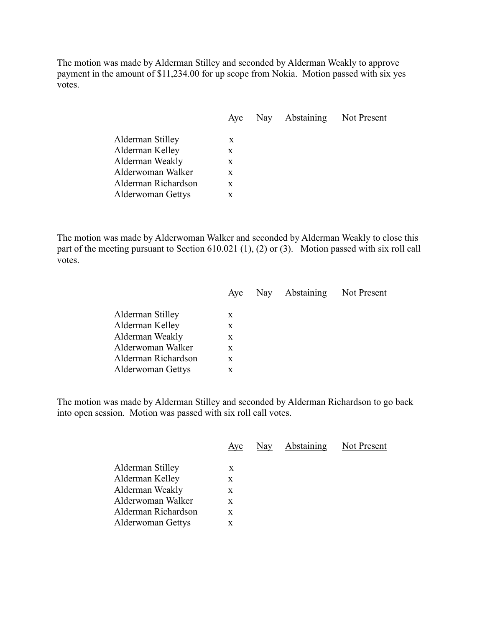The motion was made by Alderman Stilley and seconded by Alderman Weakly to approve payment in the amount of \$11,234.00 for up scope from Nokia. Motion passed with six yes votes.

|                     | Aye | Nay | Abstaining | Not Present |
|---------------------|-----|-----|------------|-------------|
| Alderman Stilley    | X   |     |            |             |
| Alderman Kelley     | X   |     |            |             |
| Alderman Weakly     | X   |     |            |             |
| Alderwoman Walker   | X   |     |            |             |
| Alderman Richardson | X   |     |            |             |
| Alderwoman Gettys   | X   |     |            |             |
|                     |     |     |            |             |

The motion was made by Alderwoman Walker and seconded by Alderman Weakly to close this part of the meeting pursuant to Section 610.021 (1), (2) or (3). Motion passed with six roll call votes.

|                          | Aye | Nay | Abstaining | Not Present |
|--------------------------|-----|-----|------------|-------------|
|                          |     |     |            |             |
| Alderman Stilley         | X   |     |            |             |
| Alderman Kelley          | X   |     |            |             |
| Alderman Weakly          | X   |     |            |             |
| Alderwoman Walker        | X   |     |            |             |
| Alderman Richardson      | X   |     |            |             |
| <b>Alderwoman Gettys</b> | X   |     |            |             |
|                          |     |     |            |             |

The motion was made by Alderman Stilley and seconded by Alderman Richardson to go back into open session. Motion was passed with six roll call votes.

| Aye | Nay | Abstaining | Not Present |
|-----|-----|------------|-------------|
|     |     |            |             |
|     |     |            |             |
| X   |     |            |             |
| X   |     |            |             |
| X   |     |            |             |
| X   |     |            |             |
| X   |     |            |             |
|     | X   |            |             |